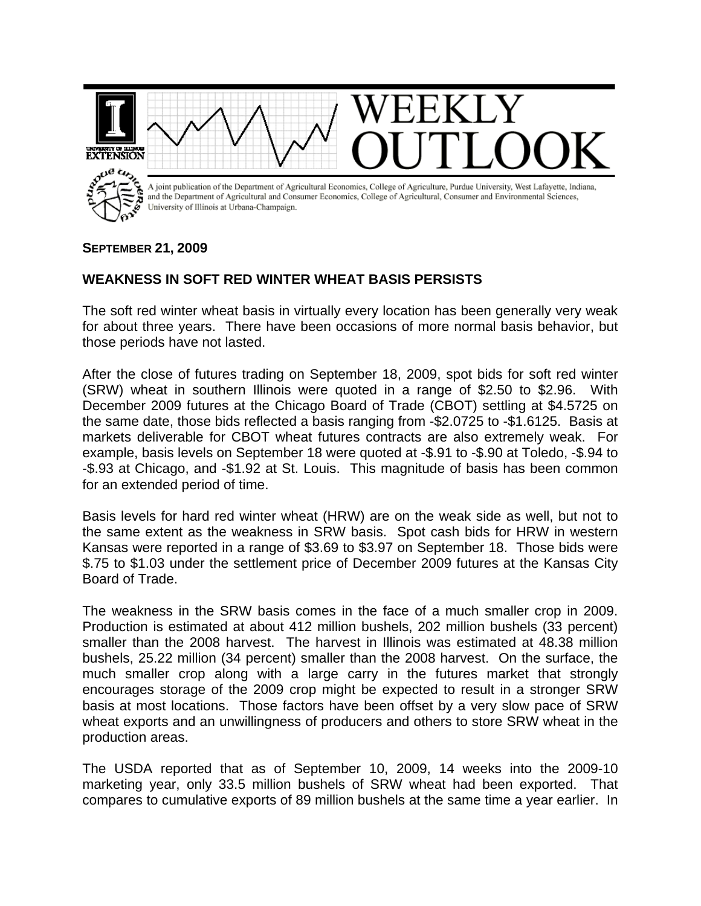

## **SEPTEMBER 21, 2009**

## **WEAKNESS IN SOFT RED WINTER WHEAT BASIS PERSISTS**

The soft red winter wheat basis in virtually every location has been generally very weak for about three years. There have been occasions of more normal basis behavior, but those periods have not lasted.

After the close of futures trading on September 18, 2009, spot bids for soft red winter (SRW) wheat in southern Illinois were quoted in a range of \$2.50 to \$2.96. With December 2009 futures at the Chicago Board of Trade (CBOT) settling at \$4.5725 on the same date, those bids reflected a basis ranging from -\$2.0725 to -\$1.6125. Basis at markets deliverable for CBOT wheat futures contracts are also extremely weak. For example, basis levels on September 18 were quoted at -\$.91 to -\$.90 at Toledo, -\$.94 to -\$.93 at Chicago, and -\$1.92 at St. Louis. This magnitude of basis has been common for an extended period of time.

Basis levels for hard red winter wheat (HRW) are on the weak side as well, but not to the same extent as the weakness in SRW basis. Spot cash bids for HRW in western Kansas were reported in a range of \$3.69 to \$3.97 on September 18. Those bids were \$.75 to \$1.03 under the settlement price of December 2009 futures at the Kansas City Board of Trade.

The weakness in the SRW basis comes in the face of a much smaller crop in 2009. Production is estimated at about 412 million bushels, 202 million bushels (33 percent) smaller than the 2008 harvest. The harvest in Illinois was estimated at 48.38 million bushels, 25.22 million (34 percent) smaller than the 2008 harvest. On the surface, the much smaller crop along with a large carry in the futures market that strongly encourages storage of the 2009 crop might be expected to result in a stronger SRW basis at most locations. Those factors have been offset by a very slow pace of SRW wheat exports and an unwillingness of producers and others to store SRW wheat in the production areas.

The USDA reported that as of September 10, 2009, 14 weeks into the 2009-10 marketing year, only 33.5 million bushels of SRW wheat had been exported. That compares to cumulative exports of 89 million bushels at the same time a year earlier. In